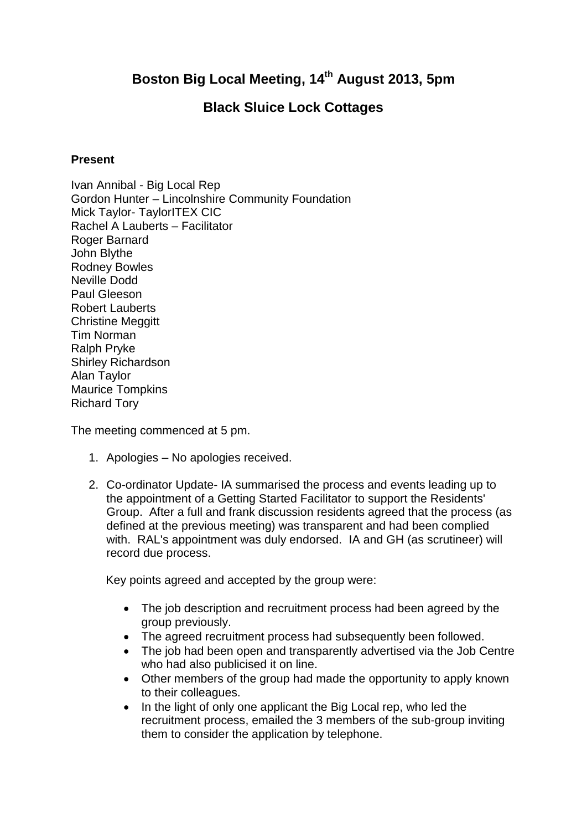## **Boston Big Local Meeting, 14th August 2013, 5pm**

## **Black Sluice Lock Cottages**

## **Present**

Ivan Annibal - Big Local Rep Gordon Hunter – Lincolnshire Community Foundation Mick Taylor- TaylorITEX CIC Rachel A Lauberts – Facilitator Roger Barnard John Blythe Rodney Bowles Neville Dodd Paul Gleeson Robert Lauberts Christine Meggitt Tim Norman Ralph Pryke Shirley Richardson Alan Taylor Maurice Tompkins Richard Tory

The meeting commenced at 5 pm.

- 1. Apologies No apologies received.
- 2. Co-ordinator Update- IA summarised the process and events leading up to the appointment of a Getting Started Facilitator to support the Residents' Group. After a full and frank discussion residents agreed that the process (as defined at the previous meeting) was transparent and had been complied with. RAL's appointment was duly endorsed. IA and GH (as scrutineer) will record due process.

Key points agreed and accepted by the group were:

- The job description and recruitment process had been agreed by the group previously.
- The agreed recruitment process had subsequently been followed.
- The job had been open and transparently advertised via the Job Centre who had also publicised it on line.
- Other members of the group had made the opportunity to apply known to their colleagues.
- In the light of only one applicant the Big Local rep, who led the recruitment process, emailed the 3 members of the sub-group inviting them to consider the application by telephone.